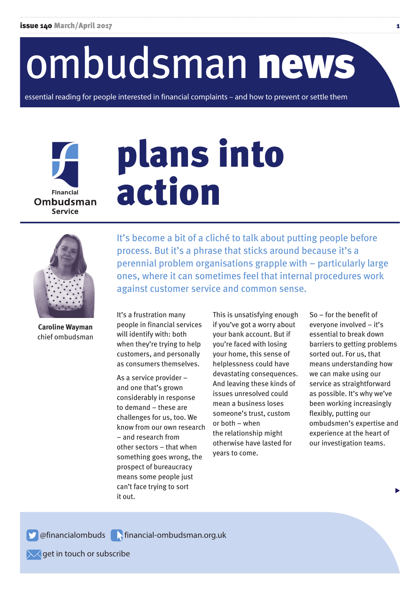# ombudsman news

essential reading for people interested in financial complaints – and how to prevent or settle them



# plans into action



**Caroline Wayman** chief ombudsman

It's become a bit of a cliché to talk about putting people before process. But it's a phrase that sticks around because it's a perennial problem organisations grapple with – particularly large ones, where it can sometimes feel that internal procedures work against customer service and common sense.

It's a frustration many people in financial services will identify with: both when they're trying to help customers, and personally as consumers themselves.

As a service provider – and one that's grown considerably in response to demand – these are challenges for us, too. We know from our own research – and research from other sectors – that when something goes wrong, the prospect of bureaucracy means some people just can't face trying to sort it out.

This is unsatisfying enough if you've got a worry about your bank account. But if you're faced with losing your home, this sense of helplessness could have devastating consequences. And leaving these kinds of issues unresolved could mean a business loses someone's trust, custom or both – when the relationship might otherwise have lasted for years to come.

So – for the benefit of everyone involved – it's essential to break down barriers to getting problems sorted out. For us, that means understanding how we can make using our service as straightforward as possible. It's why we've been working increasingly flexibly, putting our ombudsmen's expertise and experience at the heart of our investigation teams.

**S** @financialombuds **Financial-ombudsman.org.uk** 

 $\sqrt{\phantom{a}}$  get in touch or subscribe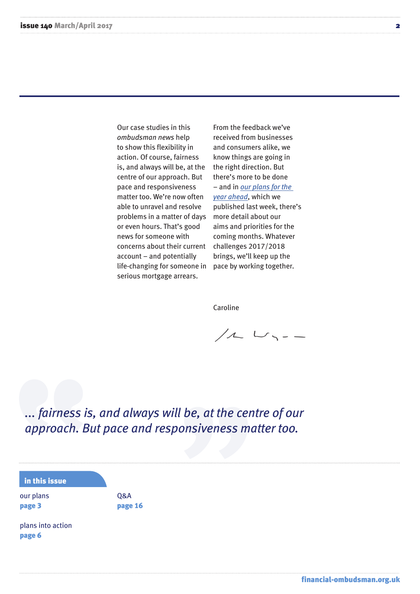Our case studies in this *ombudsman news* help to show this flexibility in action. Of course, fairness is, and always will be, at the centre of our approach. But pace and responsiveness matter too. We're now often able to unravel and resolve problems in a matter of days or even hours. That's good news for someone with concerns about their current account – and potentially life-changing for someone in serious mortgage arrears.

From the feedback we've received from businesses and consumers alike, we know things are going in the right direction. But there's more to be done – and in *[our plans for the](http://www.financial-ombudsman.org.uk/publications/plan-budget.htm) year ahead*, which we published last week, there's more detail about our aims and priorities for the coming months. Whatever challenges 2017/2018 brings, we'll keep up the pace by working together.

Caroline

 $11 - 11 - 11 = 11$ 

*... fairness is, and always will be, at the centre of our approach. But pace and responsiveness matter too.*

#### in this issue

our plans page 3

Q&A page 16

plans into action page 6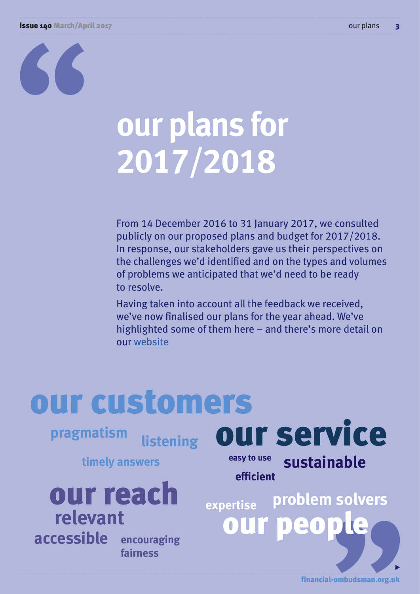#### issue 140 March/April 2017 our plans 3



# **our plans for 2017/2018**

From 14 December 2016 to 31 January 2017, we consulted publicly on our proposed plans and budget for 2017/2018. In response, our stakeholders gave us their perspectives on the challenges we'd identified and on the types and volumes of problems we anticipated that we'd need to be ready to resolve.

Having taken into account all the feedback we received, we've now finalised our plans for the year ahead. We've highlighted some of them here – and there's more detail on our [website](http://www.financial-ombudsman.org.uk/publications/plan-budget.htm)

# our customers our service **pragmatism listening easy to use sustainable timely answers efficient** our reach **problem solversexpertise relevant** eo bit **accessible encouraging fairness**

financial-ombudsman.org.uk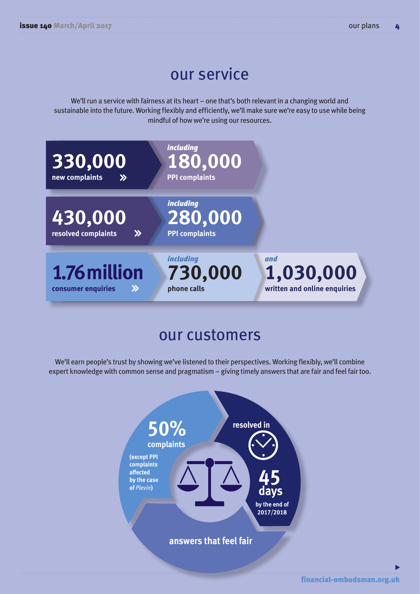# our service

We'll run a service with fairness at its heart – one that's both relevant in a changing world and sustainable into the future. Working flexibly and efficiently, we'll make sure we're easy to use while being mindful of how we're using our resources.



# our customers

We'll earn people's trust by showing we've listened to their perspectives. Working flexibly, we'll combine expert knowledge with common sense and pragmatism – giving timely answers that are fair and feel fair too.

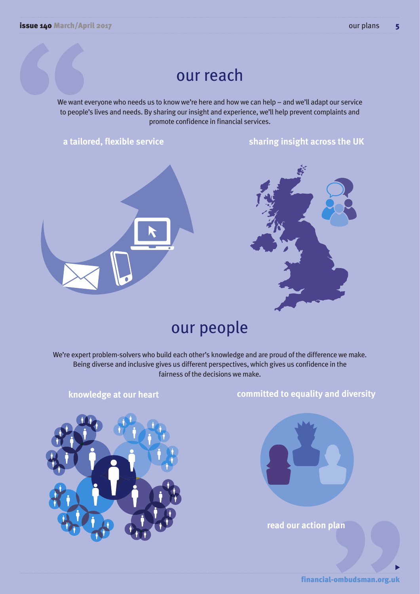# our reach

We want everyone who needs us to know we're here and how we can help – and we'll adapt our service to people's lives and needs. By sharing our insight and experience, we'll help prevent complaints and promote confidence in financial services.

**a tailored, flexible service sharing insight across the UK**





# our people

We're expert problem-solvers who build each other's knowledge and are proud of the difference we make. Being diverse and inclusive gives us different perspectives, which gives us confidence in the fairness of the decisions we make.



## **knowledge at our heart committed to equality and diversity**



**read our action plan**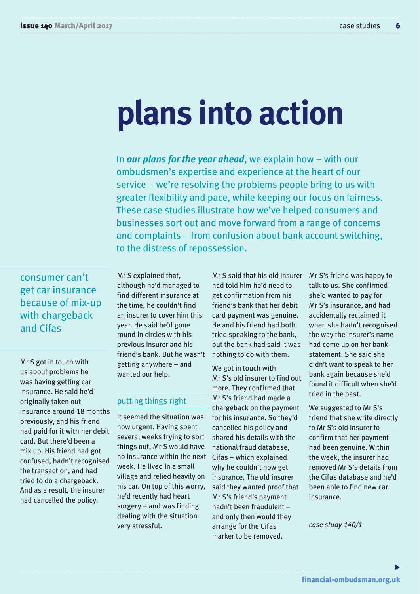# **plans into action**

In *our plans for the year ahead*, we explain how – with our ombudsmen's expertise and experience at the heart of our service – we're resolving the problems people bring to us with greater flexibility and pace, while keeping our focus on fairness. These case studies illustrate how we've helped consumers and businesses sort out and move forward from a range of concerns and complaints – from confusion about bank account switching, to the distress of repossession.

consumer can't get car insurance because of mix-up with chargeback and Cifas

Mr S got in touch with us about problems he was having getting car insurance. He said he'd originally taken out insurance around 18 months previously, and his friend had paid for it with her debit card. But there'd been a mix up. His friend had got confused, hadn't recognised the transaction, and had tried to do a chargeback. And as a result, the insurer had cancelled the policy.

Mr S explained that, although he'd managed to find different insurance at the time, he couldn't find an insurer to cover him this year. He said he'd gone round in circles with his previous insurer and his friend's bank. But he wasn't getting anywhere – and wanted our help.

#### putting things right

It seemed the situation was now urgent. Having spent several weeks trying to sort things out, Mr S would have no insurance within the next week. He lived in a small village and relied heavily on his car. On top of this worry, he'd recently had heart surgery – and was finding dealing with the situation very stressful.

Mr S said that his old insurer had told him he'd need to get confirmation from his friend's bank that her debit card payment was genuine. He and his friend had both tried speaking to the bank, but the bank had said it was nothing to do with them.

We got in touch with Mr S's old insurer to find out more. They confirmed that Mr S's friend had made a chargeback on the payment for his insurance. So they'd cancelled his policy and shared his details with the national fraud database, Cifas – which explained why he couldn't now get insurance. The old insurer said they wanted proof that Mr S's friend's payment hadn't been fraudulent – and only then would they arrange for the Cifas marker to be removed.

Mr S's friend was happy to talk to us. She confirmed she'd wanted to pay for Mr S's insurance, and had accidentally reclaimed it when she hadn't recognised the way the insurer's name had come up on her bank statement. She said she didn't want to speak to her bank again because she'd found it difficult when she'd tried in the past.

We suggested to Mr S's friend that she write directly to Mr S's old insurer to confirm that her payment had been genuine. Within the week, the insurer had removed Mr S's details from the Cifas database and he'd been able to find new car insurance.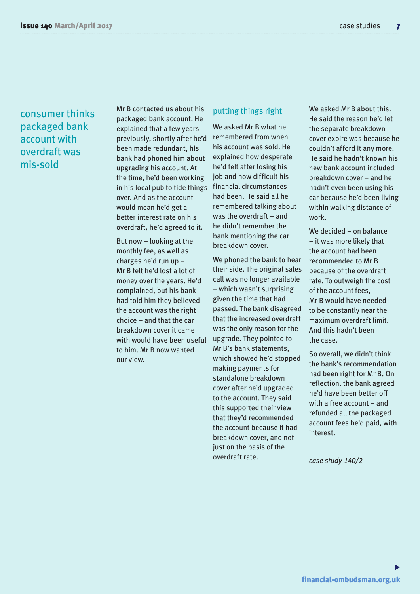## consumer thinks packaged bank account with overdraft was mis-sold

Mr B contacted us about his packaged bank account. He explained that a few years previously, shortly after he'd been made redundant, his bank had phoned him about upgrading his account. At the time, he'd been working in his local pub to tide things over. And as the account would mean he'd get a better interest rate on his overdraft, he'd agreed to it.

But now – looking at the monthly fee, as well as charges he'd run up – Mr B felt he'd lost a lot of money over the years. He'd complained, but his bank had told him they believed the account was the right choice – and that the car breakdown cover it came with would have been useful to him. Mr B now wanted our view.

#### putting things right

We asked Mr B what he remembered from when his account was sold. He explained how desperate he'd felt after losing his job and how difficult his financial circumstances had been. He said all he remembered talking about was the overdraft – and he didn't remember the bank mentioning the car breakdown cover.

We phoned the bank to hear their side. The original sales call was no longer available – which wasn't surprising given the time that had passed. The bank disagreed that the increased overdraft was the only reason for the upgrade. They pointed to Mr B's bank statements, which showed he'd stopped making payments for standalone breakdown cover after he'd upgraded to the account. They said this supported their view that they'd recommended the account because it had breakdown cover, and not just on the basis of the overdraft rate.

We asked Mr B about this. He said the reason he'd let the separate breakdown cover expire was because he couldn't afford it any more. He said he hadn't known his new bank account included breakdown cover – and he hadn't even been using his car because he'd been living within walking distance of work.

We decided – on balance – it was more likely that the account had been recommended to Mr B because of the overdraft rate. To outweigh the cost of the account fees, Mr B would have needed to be constantly near the maximum overdraft limit. And this hadn't been the case.

So overall, we didn't think the bank's recommendation had been right for Mr B. On reflection, the bank agreed he'd have been better off with a free account – and refunded all the packaged account fees he'd paid, with interest.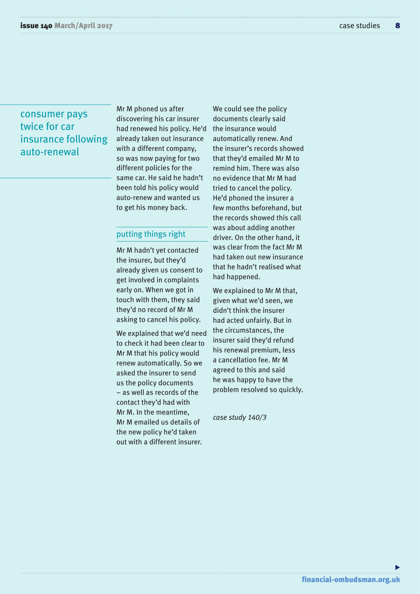## consumer pays twice for car insurance following auto-renewal

Mr M phoned us after discovering his car insurer had renewed his policy. He'd already taken out insurance with a different company, so was now paying for two different policies for the same car. He said he hadn't been told his policy would auto-renew and wanted us to get his money back.

#### putting things right

Mr M hadn't yet contacted the insurer, but they'd already given us consent to get involved in complaints early on. When we got in touch with them, they said they'd no record of Mr M asking to cancel his policy.

We explained that we'd need to check it had been clear to Mr M that his policy would renew automatically. So we asked the insurer to send us the policy documents – as well as records of the contact they'd had with Mr M. In the meantime, Mr M emailed us details of the new policy he'd taken out with a different insurer.

We could see the policy documents clearly said the insurance would automatically renew. And the insurer's records showed that they'd emailed Mr M to remind him. There was also no evidence that Mr M had tried to cancel the policy. He'd phoned the insurer a few months beforehand, but the records showed this call was about adding another driver. On the other hand, it was clear from the fact Mr M had taken out new insurance that he hadn't realised what had happened.

We explained to Mr M that, given what we'd seen, we didn't think the insurer had acted unfairly. But in the circumstances, the insurer said they'd refund his renewal premium, less a cancellation fee. Mr M agreed to this and said he was happy to have the problem resolved so quickly.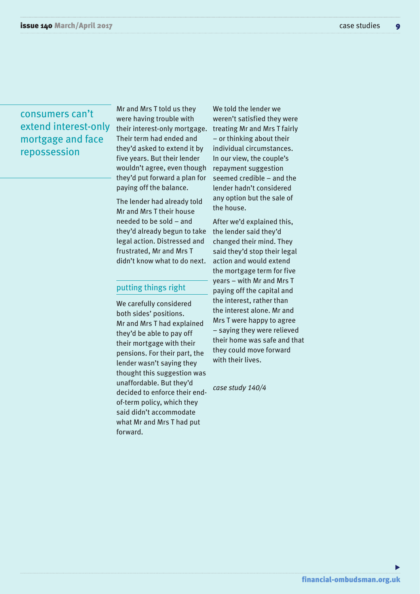### consumers can't extend interest-only mortgage and face repossession

Mr and Mrs T told us they were having trouble with their interest-only mortgage. Their term had ended and they'd asked to extend it by five years. But their lender wouldn't agree, even though they'd put forward a plan for paying off the balance.

The lender had already told Mr and Mrs T their house needed to be sold – and they'd already begun to take legal action. Distressed and frustrated, Mr and Mrs T didn't know what to do next.

#### putting things right

We carefully considered both sides' positions. Mr and Mrs T had explained they'd be able to pay off their mortgage with their pensions. For their part, the lender wasn't saying they thought this suggestion was unaffordable. But they'd decided to enforce their endof-term policy, which they said didn't accommodate what Mr and Mrs T had put forward.

We told the lender we weren't satisfied they were treating Mr and Mrs T fairly – or thinking about their individual circumstances. In our view, the couple's repayment suggestion seemed credible – and the lender hadn't considered any option but the sale of the house.

After we'd explained this, the lender said they'd changed their mind. They said they'd stop their legal action and would extend the mortgage term for five years – with Mr and Mrs T paying off the capital and the interest, rather than the interest alone. Mr and Mrs T were happy to agree – saying they were relieved their home was safe and that they could move forward with their lives.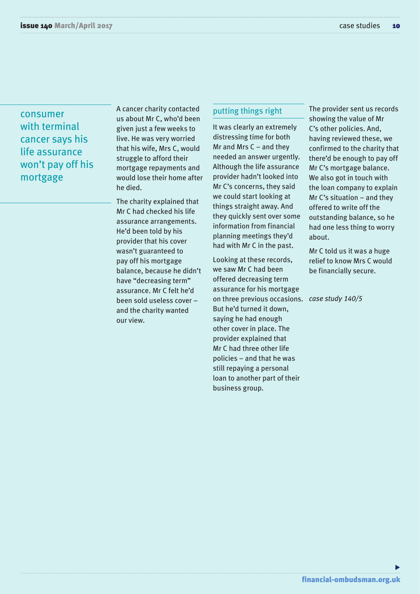consumer with terminal cancer says his life assurance won't pay off his mortgage

A cancer charity contacted us about Mr C, who'd been given just a few weeks to live. He was very worried that his wife, Mrs C, would struggle to afford their mortgage repayments and would lose their home after he died.

The charity explained that Mr C had checked his life assurance arrangements. He'd been told by his provider that his cover wasn't guaranteed to pay off his mortgage balance, because he didn't have "decreasing term" assurance. Mr C felt he'd been sold useless cover – and the charity wanted our view.

#### putting things right

It was clearly an extremely distressing time for both Mr and Mrs  $C$  – and they needed an answer urgently. Although the life assurance provider hadn't looked into Mr C's concerns, they said we could start looking at things straight away. And they quickly sent over some information from financial planning meetings they'd had with Mr C in the past.

Looking at these records, we saw Mr C had been offered decreasing term assurance for his mortgage on three previous occasions. *case study 140/5*But he'd turned it down, saying he had enough other cover in place. The provider explained that Mr C had three other life policies – and that he was still repaying a personal loan to another part of their business group.

The provider sent us records showing the value of Mr C's other policies. And, having reviewed these, we confirmed to the charity that there'd be enough to pay off Mr C's mortgage balance. We also got in touch with the loan company to explain Mr C's situation – and they offered to write off the outstanding balance, so he had one less thing to worry about.

Mr C told us it was a huge relief to know Mrs C would be financially secure.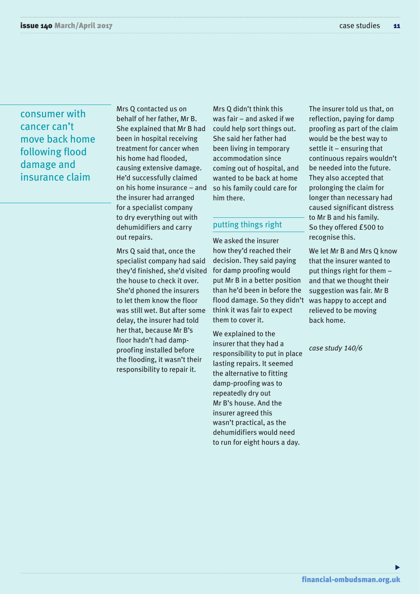## consumer with cancer can't move back home following flood damage and insurance claim

Mrs Q contacted us on behalf of her father, Mr B. She explained that Mr B had been in hospital receiving treatment for cancer when his home had flooded, causing extensive damage. He'd successfully claimed on his home insurance – and the insurer had arranged for a specialist company to dry everything out with dehumidifiers and carry out repairs.

Mrs Q said that, once the specialist company had said they'd finished, she'd visited the house to check it over. She'd phoned the insurers to let them know the floor was still wet. But after some delay, the insurer had told her that, because Mr B's floor hadn't had dampproofing installed before the flooding, it wasn't their responsibility to repair it.

Mrs Q didn't think this was fair – and asked if we could help sort things out. She said her father had been living in temporary accommodation since coming out of hospital, and wanted to be back at home so his family could care for him there.

#### putting things right

We asked the insurer how they'd reached their decision. They said paying for damp proofing would put Mr B in a better position than he'd been in before the flood damage. So they didn't think it was fair to expect them to cover it.

We explained to the insurer that they had a responsibility to put in place lasting repairs. It seemed the alternative to fitting damp-proofing was to repeatedly dry out Mr B's house. And the insurer agreed this wasn't practical, as the dehumidifiers would need to run for eight hours a day.

The insurer told us that, on reflection, paying for damp proofing as part of the claim would be the best way to settle it – ensuring that continuous repairs wouldn't be needed into the future. They also accepted that prolonging the claim for longer than necessary had caused significant distress to Mr B and his family. So they offered £500 to recognise this.

We let Mr B and Mrs Q know that the insurer wanted to put things right for them – and that we thought their suggestion was fair. Mr B was happy to accept and relieved to be moving back home.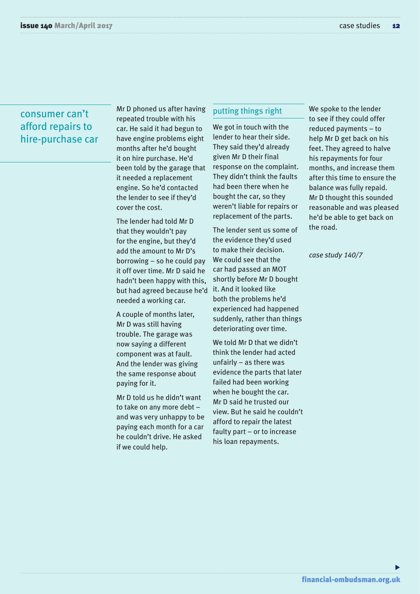### consumer can't afford repairs to hire-purchase car

Mr D phoned us after having repeated trouble with his car. He said it had begun to have engine problems eight months after he'd bought it on hire purchase. He'd been told by the garage that it needed a replacement engine. So he'd contacted the lender to see if they'd cover the cost.

The lender had told Mr D that they wouldn't pay for the engine, but they'd add the amount to Mr D's borrowing – so he could pay it off over time. Mr D said he hadn't been happy with this, but had agreed because he'd needed a working car.

A couple of months later, Mr D was still having trouble. The garage was now saying a different component was at fault. And the lender was giving the same response about paying for it.

Mr D told us he didn't want to take on any more debt – and was very unhappy to be paying each month for a car he couldn't drive. He asked if we could help.

#### putting things right

We got in touch with the lender to hear their side. They said they'd already given Mr D their final response on the complaint. They didn't think the faults had been there when he bought the car, so they weren't liable for repairs or replacement of the parts.

The lender sent us some of the evidence they'd used to make their decision. We could see that the car had passed an MOT shortly before Mr D bought it. And it looked like both the problems he'd experienced had happened suddenly, rather than things deteriorating over time.

We told Mr D that we didn't think the lender had acted unfairly – as there was evidence the parts that later failed had been working when he bought the car. Mr D said he trusted our view. But he said he couldn't afford to repair the latest faulty part – or to increase his loan repayments.

We spoke to the lender to see if they could offer reduced payments – to help Mr D get back on his feet. They agreed to halve his repayments for four months, and increase them after this time to ensure the balance was fully repaid. Mr D thought this sounded reasonable and was pleased he'd be able to get back on the road.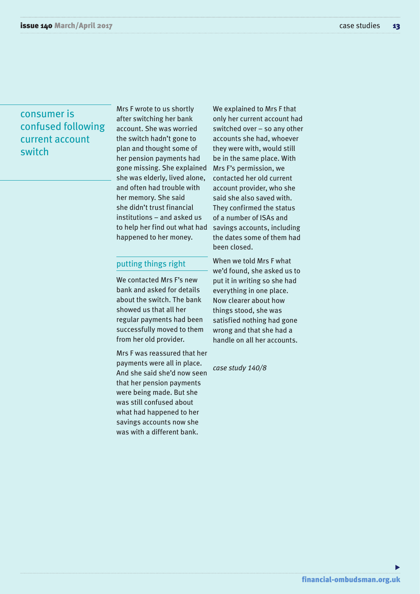## consumer is confused following current account switch

Mrs F wrote to us shortly after switching her bank account. She was worried the switch hadn't gone to plan and thought some of her pension payments had gone missing. She explained she was elderly, lived alone, and often had trouble with her memory. She said she didn't trust financial institutions – and asked us to help her find out what had happened to her money.

#### putting things right

We contacted Mrs F's new bank and asked for details about the switch. The bank showed us that all her regular payments had been successfully moved to them from her old provider.

Mrs F was reassured that her payments were all in place. And she said she'd now seen that her pension payments were being made. But she was still confused about what had happened to her savings accounts now she was with a different bank.

We explained to Mrs F that only her current account had switched over – so any other accounts she had, whoever they were with, would still be in the same place. With Mrs F's permission, we contacted her old current account provider, who she said she also saved with. They confirmed the status of a number of ISAs and savings accounts, including the dates some of them had been closed.

When we told Mrs F what we'd found, she asked us to put it in writing so she had everything in one place. Now clearer about how things stood, she was satisfied nothing had gone wrong and that she had a handle on all her accounts.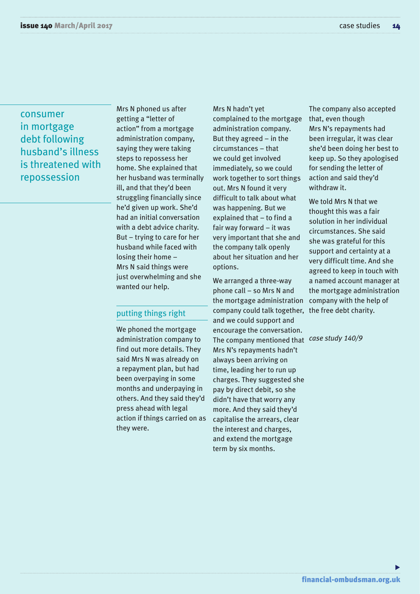consumer in mortgage debt following husband's illness is threatened with repossession

Mrs N phoned us after getting a "letter of action" from a mortgage administration company, saying they were taking steps to repossess her home. She explained that her husband was terminally ill, and that they'd been struggling financially since he'd given up work. She'd had an initial conversation with a debt advice charity. But – trying to care for her husband while faced with losing their home – Mrs N said things were just overwhelming and she wanted our help.

#### putting things right

We phoned the mortgage administration company to find out more details. They said Mrs N was already on a repayment plan, but had been overpaying in some months and underpaying in others. And they said they'd press ahead with legal action if things carried on as they were.

Mrs N hadn't yet complained to the mortgage administration company. But they agreed – in the circumstances – that we could get involved immediately, so we could work together to sort things out. Mrs N found it very difficult to talk about what was happening. But we explained that – to find a fair way forward – it was very important that she and the company talk openly about her situation and her options.

We arranged a three-way phone call – so Mrs N and the mortgage administration company could talk together, the free debt charity. and we could support and encourage the conversation. The company mentioned that *case study 140/9*Mrs N's repayments hadn't always been arriving on time, leading her to run up charges. They suggested she pay by direct debit, so she didn't have that worry any more. And they said they'd capitalise the arrears, clear the interest and charges, and extend the mortgage term by six months.

The company also accepted that, even though Mrs N's repayments had been irregular, it was clear she'd been doing her best to keep up. So they apologised for sending the letter of action and said they'd withdraw it.

We told Mrs N that we thought this was a fair solution in her individual circumstances. She said she was grateful for this support and certainty at a very difficult time. And she agreed to keep in touch with a named account manager at the mortgage administration company with the help of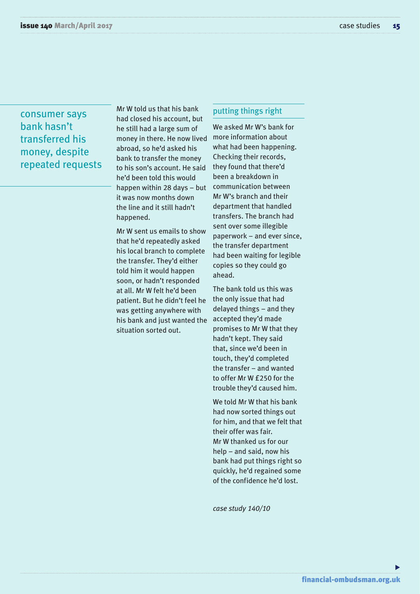## consumer says bank hasn't transferred his money, despite repeated requests

Mr W told us that his bank had closed his account, but he still had a large sum of money in there. He now lived abroad, so he'd asked his bank to transfer the money to his son's account. He said he'd been told this would happen within 28 days – but it was now months down the line and it still hadn't happened.

Mr W sent us emails to show that he'd repeatedly asked his local branch to complete the transfer. They'd either told him it would happen soon, or hadn't responded at all. Mr W felt he'd been patient. But he didn't feel he was getting anywhere with his bank and just wanted the situation sorted out.

#### putting things right

We asked Mr W's bank for more information about what had been happening. Checking their records, they found that there'd been a breakdown in communication between Mr W's branch and their department that handled transfers. The branch had sent over some illegible paperwork – and ever since, the transfer department had been waiting for legible copies so they could go ahead.

The bank told us this was the only issue that had delayed things – and they accepted they'd made promises to Mr W that they hadn't kept. They said that, since we'd been in touch, they'd completed the transfer – and wanted to offer Mr W £250 for the trouble they'd caused him.

We told Mr W that his bank had now sorted things out for him, and that we felt that their offer was fair. Mr W thanked us for our help – and said, now his bank had put things right so quickly, he'd regained some of the confidence he'd lost.